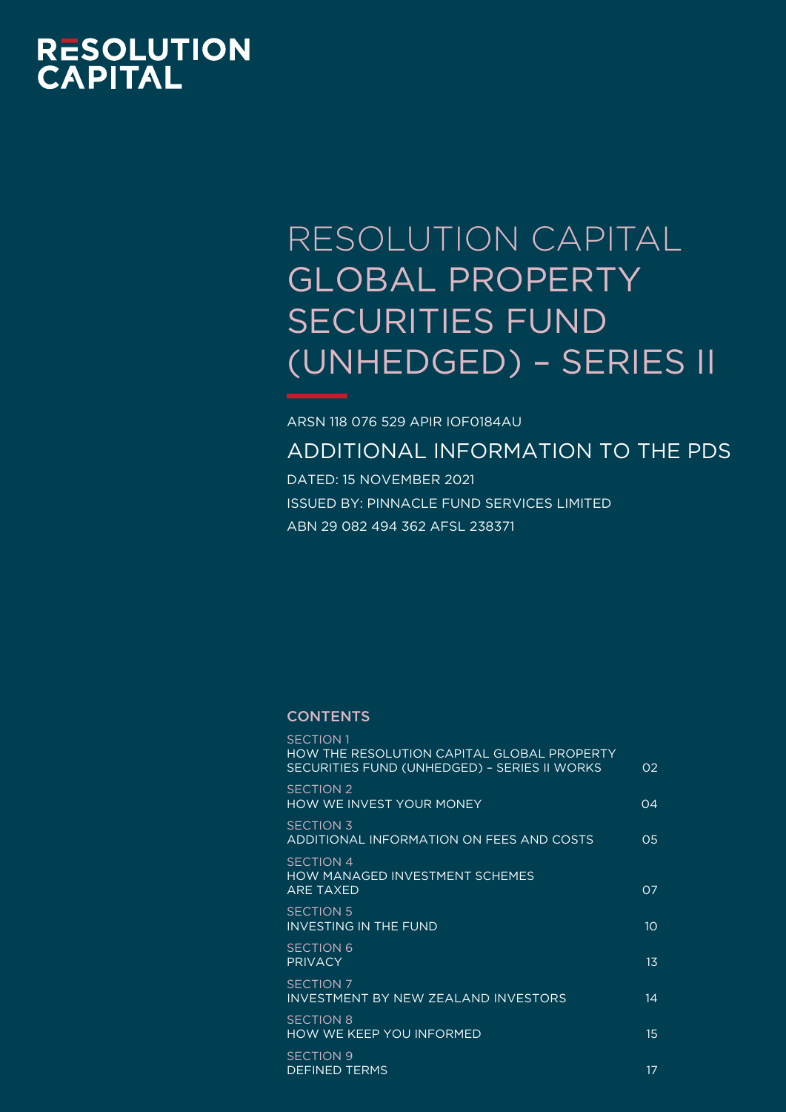# **RESOLUTION<br>CAPITAL**

# RESOLUTION CAPITAL GLOBAL PROPERTY SECURITIES FUND (UNHEDGED) – SERIES II

ARSN 118 076 529 APIR IOF0184AU

ADDITIONAL INFORMATION TO THE PDS

DATED: 15 NOVEMBER 2021 ISSUED BY: PINNACLE FUND SERVICES LIMITED ABN 29 082 494 362 AFSL 238371

# **CONTENTS**

| <b>SECTION 1</b><br>HOW THE RESOLUTION CAPITAL GLOBAL PROPERTY<br>SECURITIES FUND (UNHEDGED) - SERIES II WORKS | O2               |
|----------------------------------------------------------------------------------------------------------------|------------------|
| <b>SECTION 2</b><br><b>HOW WE INVEST YOUR MONEY</b>                                                            | $\Omega$         |
| <b>SECTION 3</b><br>ADDITIONAL INFORMATION ON FEES AND COSTS                                                   | 0.5              |
| <b>SECTION 4</b><br><b>HOW MANAGED INVESTMENT SCHEMES</b><br><b>ARE TAXED</b>                                  | 07               |
| <b>SECTION 5</b><br><b>INVESTING IN THE FUND</b>                                                               | 10 <sup>°</sup>  |
| <b>SECTION 6</b><br><b>PRIVACY</b>                                                                             | $1\overline{3}$  |
| <b>SECTION 7</b><br>INVESTMENT BY NEW ZEALAND INVESTORS                                                        | 14               |
| <b>SECTION 8</b><br>HOW WE KEEP YOU INFORMED                                                                   | 15 <sub>15</sub> |
| <b>SECTION 9</b><br><b>DEFINED TERMS</b>                                                                       | 17               |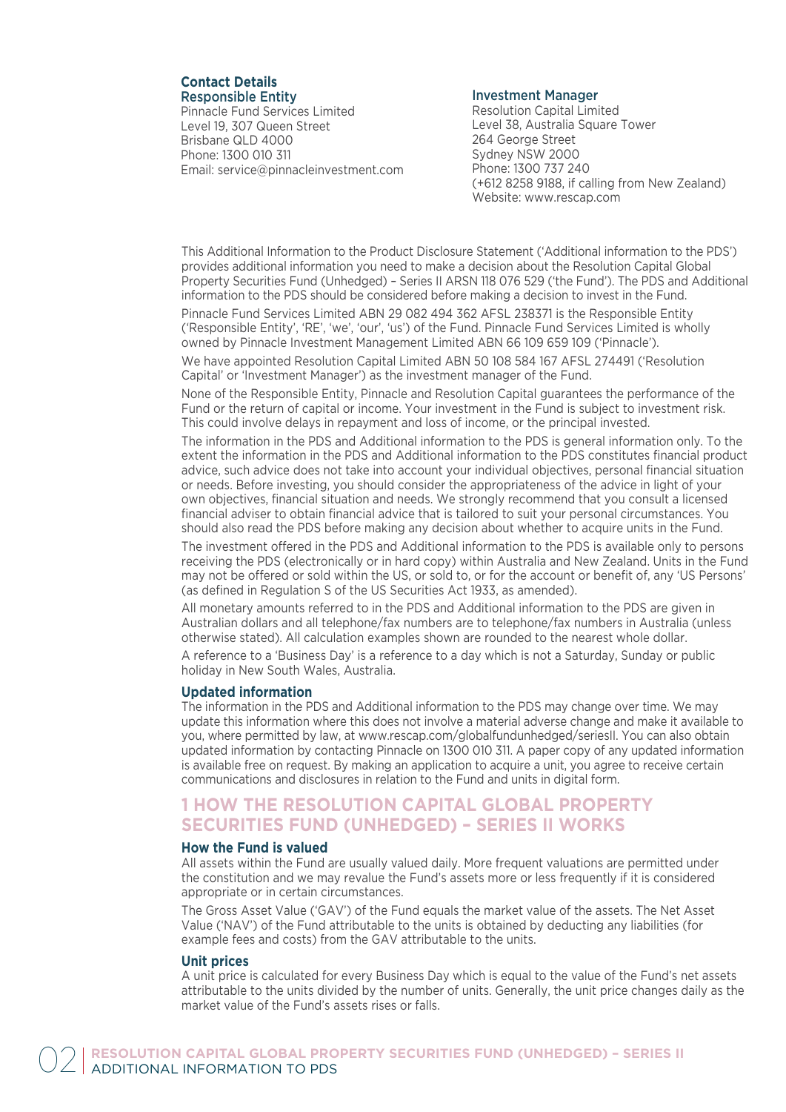# **Contact Details** Responsible Entity

Pinnacle Fund Services Limited Level 19, 307 Queen Street Brisbane QLD 4000 Phone: 1300 010 311 Email: service@pinnacleinvestment.com

# Investment Manager

Resolution Capital Limited Level 38, Australia Square Tower 264 George Street Sydney NSW 2000 Phone: 1300 737 240 (+612 8258 9188, if calling from New Zealand) Website: www.rescap.com

This Additional Information to the Product Disclosure Statement ('Additional information to the PDS') provides additional information you need to make a decision about the Resolution Capital Global Property Securities Fund (Unhedged) – Series II ARSN 118 076 529 ('the Fund'). The PDS and Additional information to the PDS should be considered before making a decision to invest in the Fund.

Pinnacle Fund Services Limited ABN 29 082 494 362 AFSL 238371 is the Responsible Entity ('Responsible Entity', 'RE', 'we', 'our', 'us') of the Fund. Pinnacle Fund Services Limited is wholly owned by Pinnacle Investment Management Limited ABN 66 109 659 109 ('Pinnacle').

We have appointed Resolution Capital Limited ABN 50 108 584 167 AFSL 274491 ('Resolution Capital' or 'Investment Manager') as the investment manager of the Fund.

None of the Responsible Entity, Pinnacle and Resolution Capital guarantees the performance of the Fund or the return of capital or income. Your investment in the Fund is subject to investment risk. This could involve delays in repayment and loss of income, or the principal invested.

The information in the PDS and Additional information to the PDS is general information only. To the extent the information in the PDS and Additional information to the PDS constitutes financial product advice, such advice does not take into account your individual objectives, personal financial situation or needs. Before investing, you should consider the appropriateness of the advice in light of your own objectives, financial situation and needs. We strongly recommend that you consult a licensed financial adviser to obtain financial advice that is tailored to suit your personal circumstances. You should also read the PDS before making any decision about whether to acquire units in the Fund.

The investment offered in the PDS and Additional information to the PDS is available only to persons receiving the PDS (electronically or in hard copy) within Australia and New Zealand. Units in the Fund may not be offered or sold within the US, or sold to, or for the account or benefit of, any 'US Persons' (as defined in Regulation S of the US Securities Act 1933, as amended).

All monetary amounts referred to in the PDS and Additional information to the PDS are given in Australian dollars and all telephone/fax numbers are to telephone/fax numbers in Australia (unless otherwise stated). All calculation examples shown are rounded to the nearest whole dollar.

A reference to a 'Business Day' is a reference to a day which is not a Saturday, Sunday or public holiday in New South Wales, Australia.

# **Updated information**

The information in the PDS and Additional information to the PDS may change over time. We may update this information where this does not involve a material adverse change and make it available to you, where permitted by law, at www.rescap.com/globalfundunhedged/seriesII. You can also obtain updated information by contacting Pinnacle on 1300 010 311. A paper copy of any updated information is available free on request. By making an application to acquire a unit, you agree to receive certain communications and disclosures in relation to the Fund and units in digital form.

# **1 HOW THE RESOLUTION CAPITAL GLOBAL PROPERTY SECURITIES FUND (UNHEDGED) – SERIES II WORKS**

# **How the Fund is valued**

All assets within the Fund are usually valued daily. More frequent valuations are permitted under the constitution and we may revalue the Fund's assets more or less frequently if it is considered appropriate or in certain circumstances.

The Gross Asset Value ('GAV') of the Fund equals the market value of the assets. The Net Asset Value ('NAV') of the Fund attributable to the units is obtained by deducting any liabilities (for example fees and costs) from the GAV attributable to the units.

# **Unit prices**

A unit price is calculated for every Business Day which is equal to the value of the Fund's net assets attributable to the units divided by the number of units. Generally, the unit price changes daily as the market value of the Fund's assets rises or falls.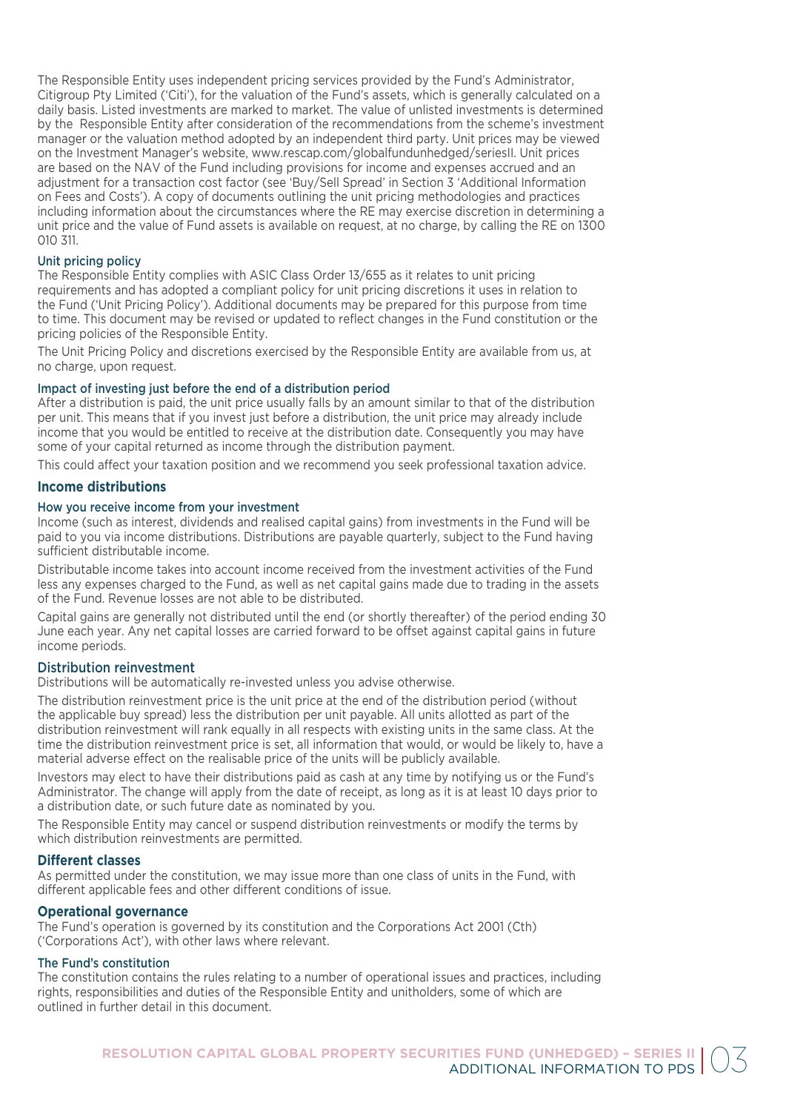The Responsible Entity uses independent pricing services provided by the Fund's Administrator, Citigroup Pty Limited ('Citi'), for the valuation of the Fund's assets, which is generally calculated on a daily basis. Listed investments are marked to market. The value of unlisted investments is determined by the Responsible Entity after consideration of the recommendations from the scheme's investment manager or the valuation method adopted by an independent third party. Unit prices may be viewed on the Investment Manager's website, www.rescap.com/globalfundunhedged/seriesII. Unit prices are based on the NAV of the Fund including provisions for income and expenses accrued and an adjustment for a transaction cost factor (see 'Buy/Sell Spread' in Section 3 'Additional Information on Fees and Costs'). A copy of documents outlining the unit pricing methodologies and practices including information about the circumstances where the RE may exercise discretion in determining a unit price and the value of Fund assets is available on request, at no charge, by calling the RE on 1300 010 311.

# Unit pricing policy

The Responsible Entity complies with ASIC Class Order 13/655 as it relates to unit pricing requirements and has adopted a compliant policy for unit pricing discretions it uses in relation to the Fund ('Unit Pricing Policy'). Additional documents may be prepared for this purpose from time to time. This document may be revised or updated to reflect changes in the Fund constitution or the pricing policies of the Responsible Entity.

The Unit Pricing Policy and discretions exercised by the Responsible Entity are available from us, at no charge, upon request.

# Impact of investing just before the end of a distribution period

After a distribution is paid, the unit price usually falls by an amount similar to that of the distribution per unit. This means that if you invest just before a distribution, the unit price may already include income that you would be entitled to receive at the distribution date. Consequently you may have some of your capital returned as income through the distribution payment.

This could affect your taxation position and we recommend you seek professional taxation advice.

# **Income distributions**

# How you receive income from your investment

Income (such as interest, dividends and realised capital gains) from investments in the Fund will be paid to you via income distributions. Distributions are payable quarterly, subject to the Fund having sufficient distributable income.

Distributable income takes into account income received from the investment activities of the Fund less any expenses charged to the Fund, as well as net capital gains made due to trading in the assets of the Fund. Revenue losses are not able to be distributed.

Capital gains are generally not distributed until the end (or shortly thereafter) of the period ending 30 June each year. Any net capital losses are carried forward to be offset against capital gains in future income periods.

# Distribution reinvestment

Distributions will be automatically re-invested unless you advise otherwise.

The distribution reinvestment price is the unit price at the end of the distribution period (without the applicable buy spread) less the distribution per unit payable. All units allotted as part of the distribution reinvestment will rank equally in all respects with existing units in the same class. At the time the distribution reinvestment price is set, all information that would, or would be likely to, have a material adverse effect on the realisable price of the units will be publicly available.

Investors may elect to have their distributions paid as cash at any time by notifying us or the Fund's Administrator. The change will apply from the date of receipt, as long as it is at least 10 days prior to a distribution date, or such future date as nominated by you.

The Responsible Entity may cancel or suspend distribution reinvestments or modify the terms by which distribution reinvestments are permitted.

# **Different classes**

As permitted under the constitution, we may issue more than one class of units in the Fund, with different applicable fees and other different conditions of issue.

# **Operational governance**

The Fund's operation is governed by its constitution and the Corporations Act 2001 (Cth) ('Corporations Act'), with other laws where relevant.

# The Fund's constitution

The constitution contains the rules relating to a number of operational issues and practices, including rights, responsibilities and duties of the Responsible Entity and unitholders, some of which are outlined in further detail in this document.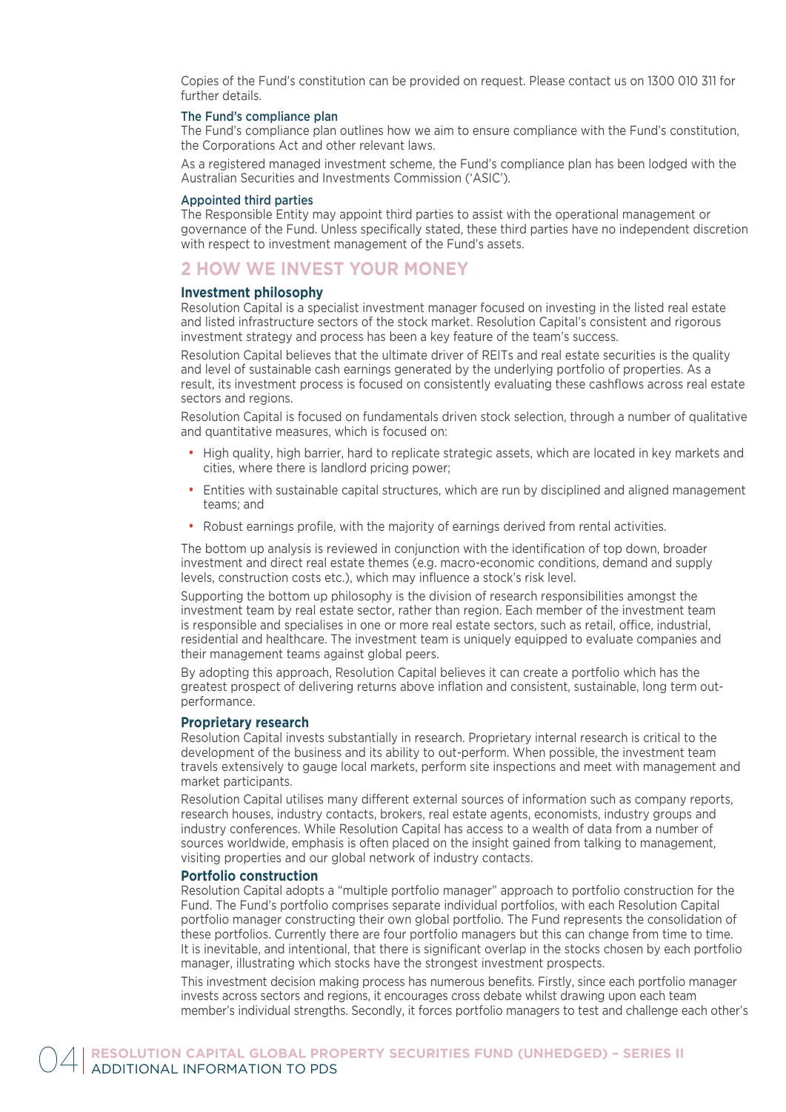Copies of the Fund's constitution can be provided on request. Please contact us on 1300 010 311 for further details.

# The Fund's compliance plan

The Fund's compliance plan outlines how we aim to ensure compliance with the Fund's constitution, the Corporations Act and other relevant laws.

As a registered managed investment scheme, the Fund's compliance plan has been lodged with the Australian Securities and Investments Commission ('ASIC').

# Appointed third parties

The Responsible Entity may appoint third parties to assist with the operational management or governance of the Fund. Unless specifically stated, these third parties have no independent discretion with respect to investment management of the Fund's assets.

# **2 HOW WE INVEST YOUR MONEY**

## **Investment philosophy**

Resolution Capital is a specialist investment manager focused on investing in the listed real estate and listed infrastructure sectors of the stock market. Resolution Capital's consistent and rigorous investment strategy and process has been a key feature of the team's success.

Resolution Capital believes that the ultimate driver of REITs and real estate securities is the quality and level of sustainable cash earnings generated by the underlying portfolio of properties. As a result, its investment process is focused on consistently evaluating these cashflows across real estate sectors and regions.

Resolution Capital is focused on fundamentals driven stock selection, through a number of qualitative and quantitative measures, which is focused on:

- High quality, high barrier, hard to replicate strategic assets, which are located in key markets and cities, where there is landlord pricing power;
- Entities with sustainable capital structures, which are run by disciplined and aligned management teams; and
- Robust earnings profile, with the majority of earnings derived from rental activities.

The bottom up analysis is reviewed in conjunction with the identification of top down, broader investment and direct real estate themes (e.g. macro-economic conditions, demand and supply levels, construction costs etc.), which may influence a stock's risk level.

Supporting the bottom up philosophy is the division of research responsibilities amongst the investment team by real estate sector, rather than region. Each member of the investment team is responsible and specialises in one or more real estate sectors, such as retail, office, industrial, residential and healthcare. The investment team is uniquely equipped to evaluate companies and their management teams against global peers.

By adopting this approach, Resolution Capital believes it can create a portfolio which has the greatest prospect of delivering returns above inflation and consistent, sustainable, long term outperformance.

## **Proprietary research**

Resolution Capital invests substantially in research. Proprietary internal research is critical to the development of the business and its ability to out-perform. When possible, the investment team travels extensively to gauge local markets, perform site inspections and meet with management and market participants.

Resolution Capital utilises many different external sources of information such as company reports, research houses, industry contacts, brokers, real estate agents, economists, industry groups and industry conferences. While Resolution Capital has access to a wealth of data from a number of sources worldwide, emphasis is often placed on the insight gained from talking to management, visiting properties and our global network of industry contacts.

# **Portfolio construction**

Resolution Capital adopts a "multiple portfolio manager" approach to portfolio construction for the Fund. The Fund's portfolio comprises separate individual portfolios, with each Resolution Capital portfolio manager constructing their own global portfolio. The Fund represents the consolidation of these portfolios. Currently there are four portfolio managers but this can change from time to time. It is inevitable, and intentional, that there is significant overlap in the stocks chosen by each portfolio manager, illustrating which stocks have the strongest investment prospects.

This investment decision making process has numerous benefits. Firstly, since each portfolio manager invests across sectors and regions, it encourages cross debate whilst drawing upon each team member's individual strengths. Secondly, it forces portfolio managers to test and challenge each other's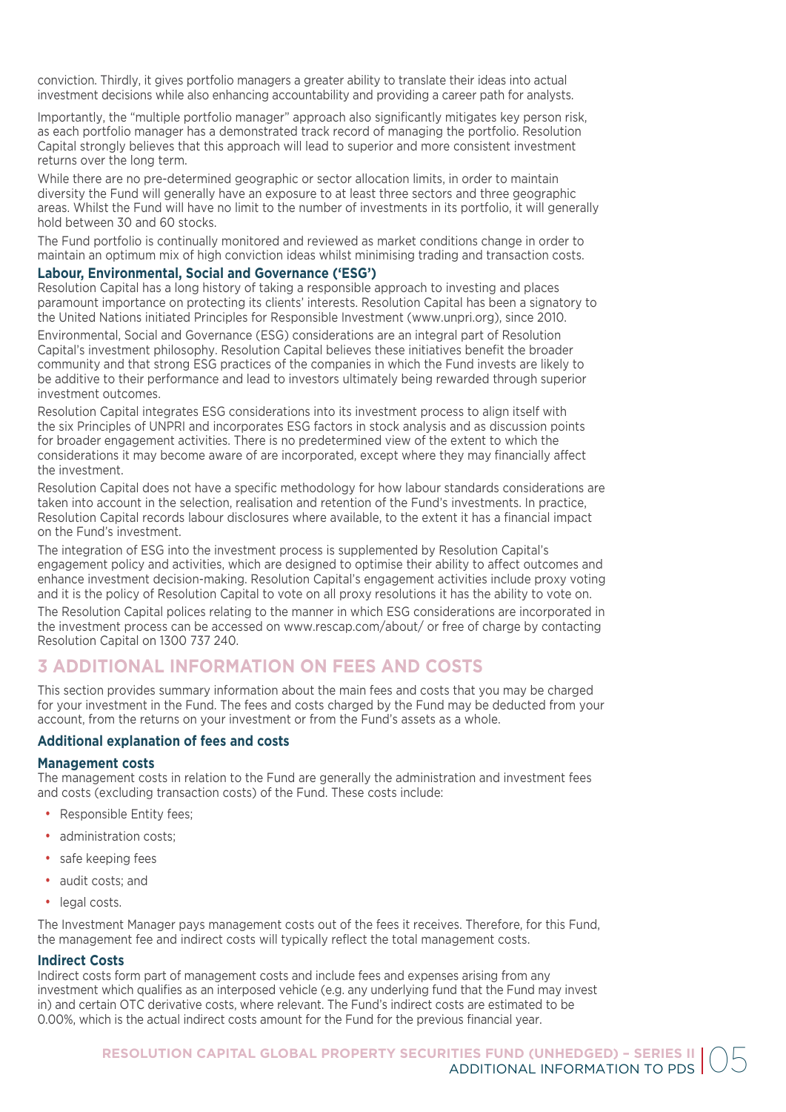conviction. Thirdly, it gives portfolio managers a greater ability to translate their ideas into actual investment decisions while also enhancing accountability and providing a career path for analysts.

Importantly, the "multiple portfolio manager" approach also significantly mitigates key person risk, as each portfolio manager has a demonstrated track record of managing the portfolio. Resolution Capital strongly believes that this approach will lead to superior and more consistent investment returns over the long term.

While there are no pre-determined geographic or sector allocation limits, in order to maintain diversity the Fund will generally have an exposure to at least three sectors and three geographic areas. Whilst the Fund will have no limit to the number of investments in its portfolio, it will generally hold between 30 and 60 stocks.

The Fund portfolio is continually monitored and reviewed as market conditions change in order to maintain an optimum mix of high conviction ideas whilst minimising trading and transaction costs.

# **Labour, Environmental, Social and Governance ('ESG')**

Resolution Capital has a long history of taking a responsible approach to investing and places paramount importance on protecting its clients' interests. Resolution Capital has been a signatory to the United Nations initiated Principles for Responsible Investment (www.unpri.org), since 2010.

Environmental, Social and Governance (ESG) considerations are an integral part of Resolution Capital's investment philosophy. Resolution Capital believes these initiatives benefit the broader community and that strong ESG practices of the companies in which the Fund invests are likely to be additive to their performance and lead to investors ultimately being rewarded through superior investment outcomes.

Resolution Capital integrates ESG considerations into its investment process to align itself with the six Principles of UNPRI and incorporates ESG factors in stock analysis and as discussion points for broader engagement activities. There is no predetermined view of the extent to which the considerations it may become aware of are incorporated, except where they may financially affect the investment.

Resolution Capital does not have a specific methodology for how labour standards considerations are taken into account in the selection, realisation and retention of the Fund's investments. In practice, Resolution Capital records labour disclosures where available, to the extent it has a financial impact on the Fund's investment.

The integration of ESG into the investment process is supplemented by Resolution Capital's engagement policy and activities, which are designed to optimise their ability to affect outcomes and enhance investment decision-making. Resolution Capital's engagement activities include proxy voting and it is the policy of Resolution Capital to vote on all proxy resolutions it has the ability to vote on.

The Resolution Capital polices relating to the manner in which ESG considerations are incorporated in the investment process can be accessed on www.rescap.com/about/ or free of charge by contacting Resolution Capital on 1300 737 240.

# **3 ADDITIONAL INFORMATION ON FEES AND COSTS**

This section provides summary information about the main fees and costs that you may be charged for your investment in the Fund. The fees and costs charged by the Fund may be deducted from your account, from the returns on your investment or from the Fund's assets as a whole.

# **Additional explanation of fees and costs**

# **Management costs**

The management costs in relation to the Fund are generally the administration and investment fees and costs (excluding transaction costs) of the Fund. These costs include:

- Responsible Entity fees;
- administration costs:
- safe keeping fees
- audit costs; and
- legal costs.

The Investment Manager pays management costs out of the fees it receives. Therefore, for this Fund, the management fee and indirect costs will typically reflect the total management costs.

# **Indirect Costs**

Indirect costs form part of management costs and include fees and expenses arising from any investment which qualifies as an interposed vehicle (e.g. any underlying fund that the Fund may invest in) and certain OTC derivative costs, where relevant. The Fund's indirect costs are estimated to be 0.00%, which is the actual indirect costs amount for the Fund for the previous financial year.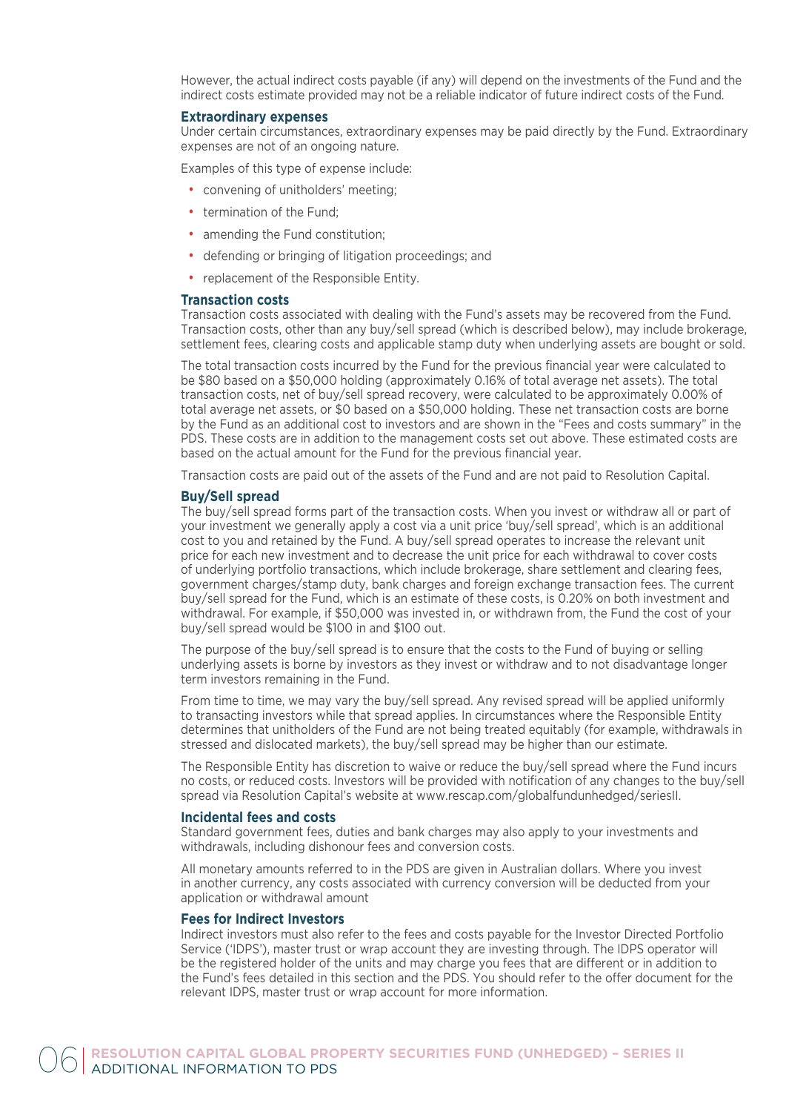However, the actual indirect costs payable (if any) will depend on the investments of the Fund and the indirect costs estimate provided may not be a reliable indicator of future indirect costs of the Fund.

#### **Extraordinary expenses**

Under certain circumstances, extraordinary expenses may be paid directly by the Fund. Extraordinary expenses are not of an ongoing nature.

Examples of this type of expense include:

- convening of unitholders' meeting;
- termination of the Fund:
- amending the Fund constitution;
- defending or bringing of litigation proceedings; and
- replacement of the Responsible Entity.

#### **Transaction costs**

Transaction costs associated with dealing with the Fund's assets may be recovered from the Fund. Transaction costs, other than any buy/sell spread (which is described below), may include brokerage, settlement fees, clearing costs and applicable stamp duty when underlying assets are bought or sold.

The total transaction costs incurred by the Fund for the previous financial year were calculated to be \$80 based on a \$50,000 holding (approximately 0.16% of total average net assets). The total transaction costs, net of buy/sell spread recovery, were calculated to be approximately 0.00% of total average net assets, or \$0 based on a \$50,000 holding. These net transaction costs are borne by the Fund as an additional cost to investors and are shown in the "Fees and costs summary" in the PDS. These costs are in addition to the management costs set out above. These estimated costs are based on the actual amount for the Fund for the previous financial year.

Transaction costs are paid out of the assets of the Fund and are not paid to Resolution Capital.

# **Buy/Sell spread**

The buy/sell spread forms part of the transaction costs. When you invest or withdraw all or part of your investment we generally apply a cost via a unit price 'buy/sell spread', which is an additional cost to you and retained by the Fund. A buy/sell spread operates to increase the relevant unit price for each new investment and to decrease the unit price for each withdrawal to cover costs of underlying portfolio transactions, which include brokerage, share settlement and clearing fees, government charges/stamp duty, bank charges and foreign exchange transaction fees. The current buy/sell spread for the Fund, which is an estimate of these costs, is 0.20% on both investment and withdrawal. For example, if \$50,000 was invested in, or withdrawn from, the Fund the cost of your buy/sell spread would be \$100 in and \$100 out.

The purpose of the buy/sell spread is to ensure that the costs to the Fund of buying or selling underlying assets is borne by investors as they invest or withdraw and to not disadvantage longer term investors remaining in the Fund.

From time to time, we may vary the buy/sell spread. Any revised spread will be applied uniformly to transacting investors while that spread applies. In circumstances where the Responsible Entity determines that unitholders of the Fund are not being treated equitably (for example, withdrawals in stressed and dislocated markets), the buy/sell spread may be higher than our estimate.

The Responsible Entity has discretion to waive or reduce the buy/sell spread where the Fund incurs no costs, or reduced costs. Investors will be provided with notification of any changes to the buy/sell spread via Resolution Capital's website at www.rescap.com/globalfundunhedged/seriesII.

#### **Incidental fees and costs**

Standard government fees, duties and bank charges may also apply to your investments and withdrawals, including dishonour fees and conversion costs.

All monetary amounts referred to in the PDS are given in Australian dollars. Where you invest in another currency, any costs associated with currency conversion will be deducted from your application or withdrawal amount

# **Fees for Indirect Investors**

Indirect investors must also refer to the fees and costs payable for the Investor Directed Portfolio Service ('IDPS'), master trust or wrap account they are investing through. The IDPS operator will be the registered holder of the units and may charge you fees that are different or in addition to the Fund's fees detailed in this section and the PDS. You should refer to the offer document for the relevant IDPS, master trust or wrap account for more information.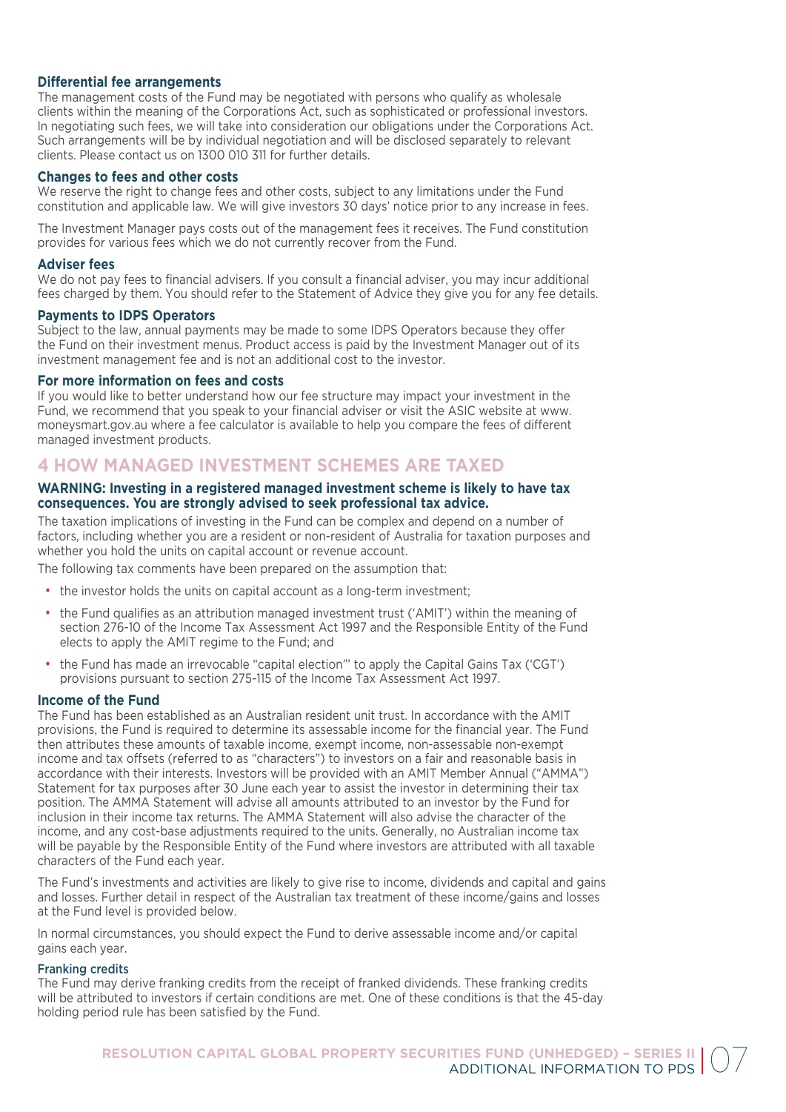# **Differential fee arrangements**

The management costs of the Fund may be negotiated with persons who qualify as wholesale clients within the meaning of the Corporations Act, such as sophisticated or professional investors. In negotiating such fees, we will take into consideration our obligations under the Corporations Act. Such arrangements will be by individual negotiation and will be disclosed separately to relevant clients. Please contact us on 1300 010 311 for further details.

# **Changes to fees and other costs**

We reserve the right to change fees and other costs, subject to any limitations under the Fund constitution and applicable law. We will give investors 30 days' notice prior to any increase in fees.

The Investment Manager pays costs out of the management fees it receives. The Fund constitution provides for various fees which we do not currently recover from the Fund.

# **Adviser fees**

We do not pay fees to financial advisers. If you consult a financial adviser, you may incur additional fees charged by them. You should refer to the Statement of Advice they give you for any fee details.

# **Payments to IDPS Operators**

Subject to the law, annual payments may be made to some IDPS Operators because they offer the Fund on their investment menus. Product access is paid by the Investment Manager out of its investment management fee and is not an additional cost to the investor.

# **For more information on fees and costs**

If you would like to better understand how our fee structure may impact your investment in the Fund, we recommend that you speak to your financial adviser or visit the ASIC website at www. moneysmart.gov.au where a fee calculator is available to help you compare the fees of different managed investment products.

# **4 HOW MANAGED INVESTMENT SCHEMES ARE TAXED**

# **WARNING: Investing in a registered managed investment scheme is likely to have tax consequences. You are strongly advised to seek professional tax advice.**

The taxation implications of investing in the Fund can be complex and depend on a number of factors, including whether you are a resident or non-resident of Australia for taxation purposes and whether you hold the units on capital account or revenue account.

The following tax comments have been prepared on the assumption that:

- the investor holds the units on capital account as a long-term investment;
- the Fund qualifies as an attribution managed investment trust ('AMIT') within the meaning of section 276-10 of the Income Tax Assessment Act 1997 and the Responsible Entity of the Fund elects to apply the AMIT regime to the Fund; and
- the Fund has made an irrevocable "capital election"' to apply the Capital Gains Tax ('CGT') provisions pursuant to section 275-115 of the Income Tax Assessment Act 1997.

# **Income of the Fund**

The Fund has been established as an Australian resident unit trust. In accordance with the AMIT provisions, the Fund is required to determine its assessable income for the financial year. The Fund then attributes these amounts of taxable income, exempt income, non-assessable non-exempt income and tax offsets (referred to as "characters") to investors on a fair and reasonable basis in accordance with their interests. Investors will be provided with an AMIT Member Annual ("AMMA") Statement for tax purposes after 30 June each year to assist the investor in determining their tax position. The AMMA Statement will advise all amounts attributed to an investor by the Fund for inclusion in their income tax returns. The AMMA Statement will also advise the character of the income, and any cost-base adjustments required to the units. Generally, no Australian income tax will be payable by the Responsible Entity of the Fund where investors are attributed with all taxable characters of the Fund each year.

The Fund's investments and activities are likely to give rise to income, dividends and capital and gains and losses. Further detail in respect of the Australian tax treatment of these income/gains and losses at the Fund level is provided below.

In normal circumstances, you should expect the Fund to derive assessable income and/or capital gains each year.

# Franking credits

The Fund may derive franking credits from the receipt of franked dividends. These franking credits will be attributed to investors if certain conditions are met. One of these conditions is that the 45-day holding period rule has been satisfied by the Fund.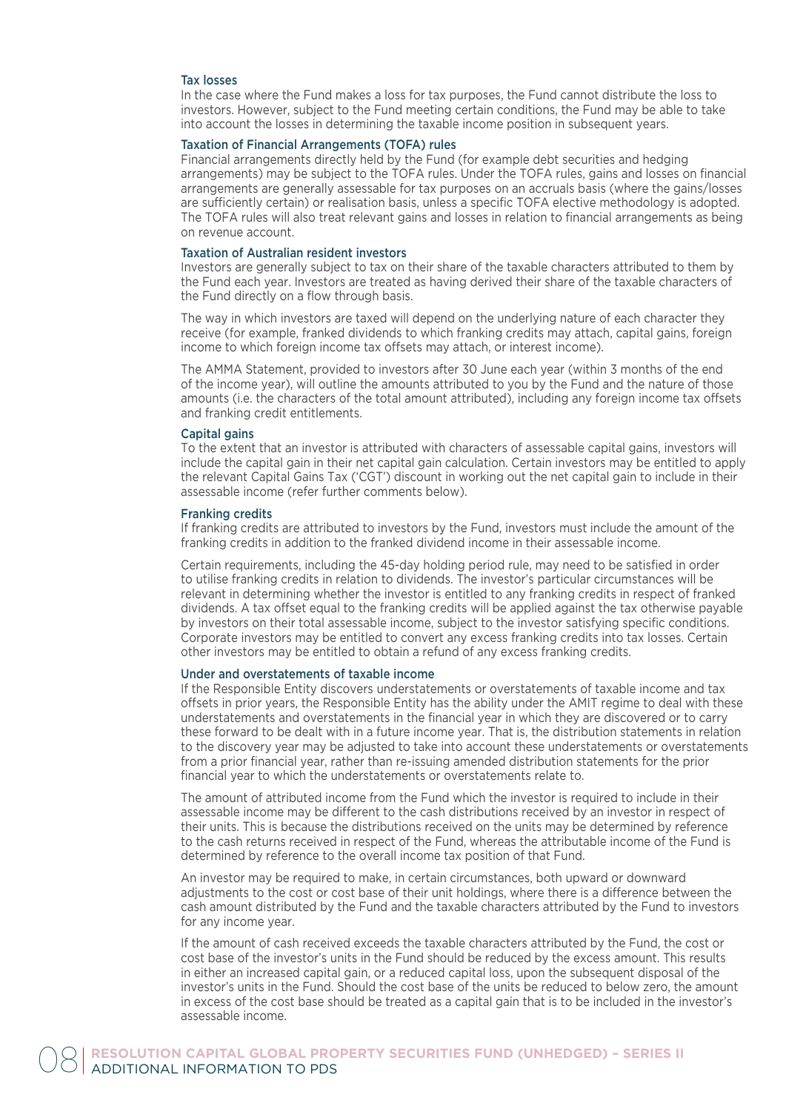# Tax losses

In the case where the Fund makes a loss for tax purposes, the Fund cannot distribute the loss to investors. However, subject to the Fund meeting certain conditions, the Fund may be able to take into account the losses in determining the taxable income position in subsequent years.

# Taxation of Financial Arrangements (TOFA) rules

Financial arrangements directly held by the Fund (for example debt securities and hedging arrangements) may be subject to the TOFA rules. Under the TOFA rules, gains and losses on financial arrangements are generally assessable for tax purposes on an accruals basis (where the gains/losses are sufficiently certain) or realisation basis, unless a specific TOFA elective methodology is adopted. The TOFA rules will also treat relevant gains and losses in relation to financial arrangements as being on revenue account.

# Taxation of Australian resident investors

Investors are generally subject to tax on their share of the taxable characters attributed to them by the Fund each year. Investors are treated as having derived their share of the taxable characters of the Fund directly on a flow through basis.

The way in which investors are taxed will depend on the underlying nature of each character they receive (for example, franked dividends to which franking credits may attach, capital gains, foreign income to which foreign income tax offsets may attach, or interest income).

The AMMA Statement, provided to investors after 30 June each year (within 3 months of the end of the income year), will outline the amounts attributed to you by the Fund and the nature of those amounts (i.e. the characters of the total amount attributed), including any foreign income tax offsets and franking credit entitlements.

## Capital gains

To the extent that an investor is attributed with characters of assessable capital gains, investors will include the capital gain in their net capital gain calculation. Certain investors may be entitled to apply the relevant Capital Gains Tax ('CGT') discount in working out the net capital gain to include in their assessable income (refer further comments below).

# Franking credits

If franking credits are attributed to investors by the Fund, investors must include the amount of the franking credits in addition to the franked dividend income in their assessable income.

Certain requirements, including the 45-day holding period rule, may need to be satisfied in order to utilise franking credits in relation to dividends. The investor's particular circumstances will be relevant in determining whether the investor is entitled to any franking credits in respect of franked dividends. A tax offset equal to the franking credits will be applied against the tax otherwise payable by investors on their total assessable income, subject to the investor satisfying specific conditions. Corporate investors may be entitled to convert any excess franking credits into tax losses. Certain other investors may be entitled to obtain a refund of any excess franking credits.

# Under and overstatements of taxable income

If the Responsible Entity discovers understatements or overstatements of taxable income and tax offsets in prior years, the Responsible Entity has the ability under the AMIT regime to deal with these understatements and overstatements in the financial year in which they are discovered or to carry these forward to be dealt with in a future income year. That is, the distribution statements in relation to the discovery year may be adjusted to take into account these understatements or overstatements from a prior financial year, rather than re-issuing amended distribution statements for the prior financial year to which the understatements or overstatements relate to.

The amount of attributed income from the Fund which the investor is required to include in their assessable income may be different to the cash distributions received by an investor in respect of their units. This is because the distributions received on the units may be determined by reference to the cash returns received in respect of the Fund, whereas the attributable income of the Fund is determined by reference to the overall income tax position of that Fund.

An investor may be required to make, in certain circumstances, both upward or downward adjustments to the cost or cost base of their unit holdings, where there is a difference between the cash amount distributed by the Fund and the taxable characters attributed by the Fund to investors for any income year.

If the amount of cash received exceeds the taxable characters attributed by the Fund, the cost or cost base of the investor's units in the Fund should be reduced by the excess amount. This results in either an increased capital gain, or a reduced capital loss, upon the subsequent disposal of the investor's units in the Fund. Should the cost base of the units be reduced to below zero, the amount in excess of the cost base should be treated as a capital gain that is to be included in the investor's assessable income.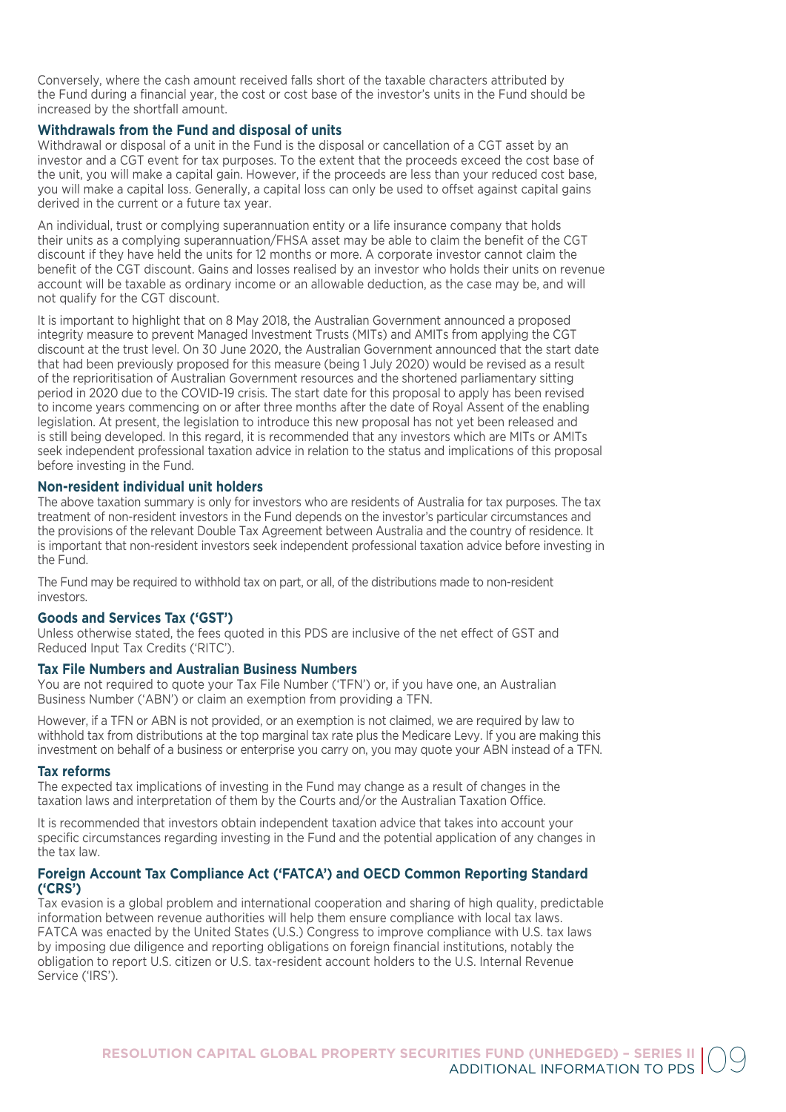Conversely, where the cash amount received falls short of the taxable characters attributed by the Fund during a financial year, the cost or cost base of the investor's units in the Fund should be increased by the shortfall amount.

# **Withdrawals from the Fund and disposal of units**

Withdrawal or disposal of a unit in the Fund is the disposal or cancellation of a CGT asset by an investor and a CGT event for tax purposes. To the extent that the proceeds exceed the cost base of the unit, you will make a capital gain. However, if the proceeds are less than your reduced cost base, you will make a capital loss. Generally, a capital loss can only be used to offset against capital gains derived in the current or a future tax year.

An individual, trust or complying superannuation entity or a life insurance company that holds their units as a complying superannuation/FHSA asset may be able to claim the benefit of the CGT discount if they have held the units for 12 months or more. A corporate investor cannot claim the benefit of the CGT discount. Gains and losses realised by an investor who holds their units on revenue account will be taxable as ordinary income or an allowable deduction, as the case may be, and will not qualify for the CGT discount.

It is important to highlight that on 8 May 2018, the Australian Government announced a proposed integrity measure to prevent Managed Investment Trusts (MITs) and AMITs from applying the CGT discount at the trust level. On 30 June 2020, the Australian Government announced that the start date that had been previously proposed for this measure (being 1 July 2020) would be revised as a result of the reprioritisation of Australian Government resources and the shortened parliamentary sitting period in 2020 due to the COVID-19 crisis. The start date for this proposal to apply has been revised to income years commencing on or after three months after the date of Royal Assent of the enabling legislation. At present, the legislation to introduce this new proposal has not yet been released and is still being developed. In this regard, it is recommended that any investors which are MITs or AMITs seek independent professional taxation advice in relation to the status and implications of this proposal before investing in the Fund.

# **Non-resident individual unit holders**

The above taxation summary is only for investors who are residents of Australia for tax purposes. The tax treatment of non-resident investors in the Fund depends on the investor's particular circumstances and the provisions of the relevant Double Tax Agreement between Australia and the country of residence. It is important that non-resident investors seek independent professional taxation advice before investing in the Fund.

The Fund may be required to withhold tax on part, or all, of the distributions made to non-resident investors.

# **Goods and Services Tax ('GST')**

Unless otherwise stated, the fees quoted in this PDS are inclusive of the net effect of GST and Reduced Input Tax Credits ('RITC').

# **Tax File Numbers and Australian Business Numbers**

You are not required to quote your Tax File Number ('TFN') or, if you have one, an Australian Business Number ('ABN') or claim an exemption from providing a TFN.

However, if a TFN or ABN is not provided, or an exemption is not claimed, we are required by law to withhold tax from distributions at the top marginal tax rate plus the Medicare Levy. If you are making this investment on behalf of a business or enterprise you carry on, you may quote your ABN instead of a TFN.

# **Tax reforms**

The expected tax implications of investing in the Fund may change as a result of changes in the taxation laws and interpretation of them by the Courts and/or the Australian Taxation Office.

It is recommended that investors obtain independent taxation advice that takes into account your specific circumstances regarding investing in the Fund and the potential application of any changes in the tax law.

# **Foreign Account Tax Compliance Act ('FATCA') and OECD Common Reporting Standard ('CRS')**

Tax evasion is a global problem and international cooperation and sharing of high quality, predictable information between revenue authorities will help them ensure compliance with local tax laws. FATCA was enacted by the United States (U.S.) Congress to improve compliance with U.S. tax laws by imposing due diligence and reporting obligations on foreign financial institutions, notably the obligation to report U.S. citizen or U.S. tax-resident account holders to the U.S. Internal Revenue Service ('IRS').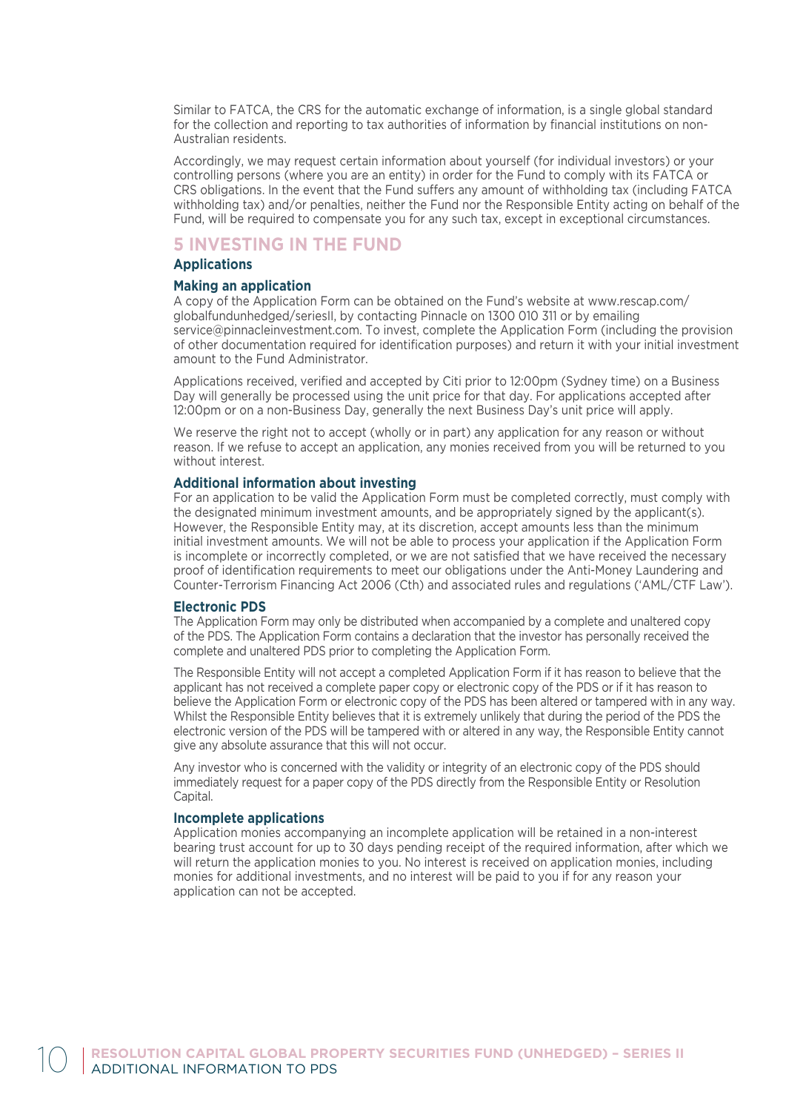Similar to FATCA, the CRS for the automatic exchange of information, is a single global standard for the collection and reporting to tax authorities of information by financial institutions on non-Australian residents.

Accordingly, we may request certain information about yourself (for individual investors) or your controlling persons (where you are an entity) in order for the Fund to comply with its FATCA or CRS obligations. In the event that the Fund suffers any amount of withholding tax (including FATCA withholding tax) and/or penalties, neither the Fund nor the Responsible Entity acting on behalf of the Fund, will be required to compensate you for any such tax, except in exceptional circumstances.

# **5 INVESTING IN THE FUND**

# **Applications**

#### **Making an application**

A copy of the Application Form can be obtained on the Fund's website at www.rescap.com/ globalfundunhedged/seriesII, by contacting Pinnacle on 1300 010 311 or by emailing service@pinnacleinvestment.com. To invest, complete the Application Form (including the provision of other documentation required for identification purposes) and return it with your initial investment amount to the Fund Administrator.

Applications received, verified and accepted by Citi prior to 12:00pm (Sydney time) on a Business Day will generally be processed using the unit price for that day. For applications accepted after 12:00pm or on a non-Business Day, generally the next Business Day's unit price will apply.

We reserve the right not to accept (wholly or in part) any application for any reason or without reason. If we refuse to accept an application, any monies received from you will be returned to you without interest.

# **Additional information about investing**

For an application to be valid the Application Form must be completed correctly, must comply with the designated minimum investment amounts, and be appropriately signed by the applicant(s). However, the Responsible Entity may, at its discretion, accept amounts less than the minimum initial investment amounts. We will not be able to process your application if the Application Form is incomplete or incorrectly completed, or we are not satisfied that we have received the necessary proof of identification requirements to meet our obligations under the Anti-Money Laundering and Counter-Terrorism Financing Act 2006 (Cth) and associated rules and regulations ('AML/CTF Law').

# **Electronic PDS**

The Application Form may only be distributed when accompanied by a complete and unaltered copy of the PDS. The Application Form contains a declaration that the investor has personally received the complete and unaltered PDS prior to completing the Application Form.

The Responsible Entity will not accept a completed Application Form if it has reason to believe that the applicant has not received a complete paper copy or electronic copy of the PDS or if it has reason to believe the Application Form or electronic copy of the PDS has been altered or tampered with in any way. Whilst the Responsible Entity believes that it is extremely unlikely that during the period of the PDS the electronic version of the PDS will be tampered with or altered in any way, the Responsible Entity cannot give any absolute assurance that this will not occur.

Any investor who is concerned with the validity or integrity of an electronic copy of the PDS should immediately request for a paper copy of the PDS directly from the Responsible Entity or Resolution Capital.

# **Incomplete applications**

Application monies accompanying an incomplete application will be retained in a non-interest bearing trust account for up to 30 days pending receipt of the required information, after which we will return the application monies to you. No interest is received on application monies, including monies for additional investments, and no interest will be paid to you if for any reason your application can not be accepted.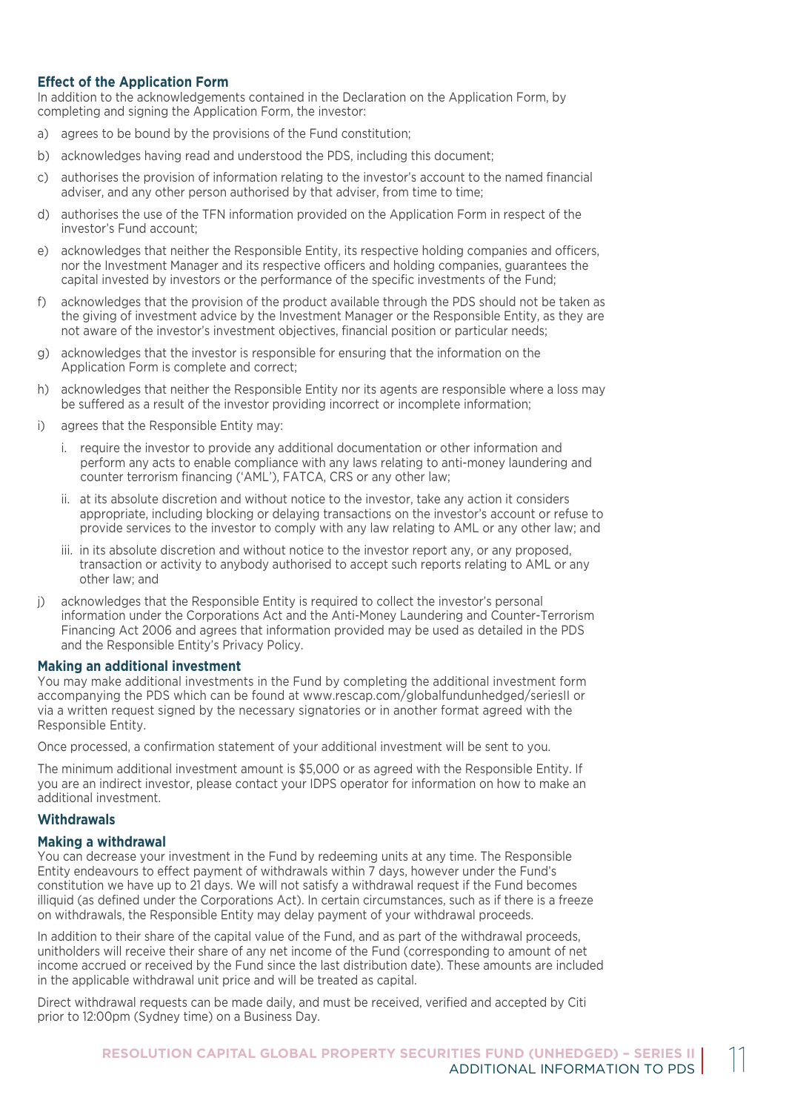# **Effect of the Application Form**

In addition to the acknowledgements contained in the Declaration on the Application Form, by completing and signing the Application Form, the investor:

- a) agrees to be bound by the provisions of the Fund constitution;
- b) acknowledges having read and understood the PDS, including this document;
- c) authorises the provision of information relating to the investor's account to the named financial adviser, and any other person authorised by that adviser, from time to time;
- d) authorises the use of the TFN information provided on the Application Form in respect of the investor's Fund account;
- e) acknowledges that neither the Responsible Entity, its respective holding companies and officers, nor the Investment Manager and its respective officers and holding companies, guarantees the capital invested by investors or the performance of the specific investments of the Fund;
- f) acknowledges that the provision of the product available through the PDS should not be taken as the giving of investment advice by the Investment Manager or the Responsible Entity, as they are not aware of the investor's investment objectives, financial position or particular needs;
- g) acknowledges that the investor is responsible for ensuring that the information on the Application Form is complete and correct;
- h) acknowledges that neither the Responsible Entity nor its agents are responsible where a loss may be suffered as a result of the investor providing incorrect or incomplete information;
- i) agrees that the Responsible Entity may:
	- i. require the investor to provide any additional documentation or other information and perform any acts to enable compliance with any laws relating to anti-money laundering and counter terrorism financing ('AML'), FATCA, CRS or any other law;
	- ii. at its absolute discretion and without notice to the investor, take any action it considers appropriate, including blocking or delaying transactions on the investor's account or refuse to provide services to the investor to comply with any law relating to AML or any other law; and
	- iii. in its absolute discretion and without notice to the investor report any, or any proposed, transaction or activity to anybody authorised to accept such reports relating to AML or any other law; and
- j) acknowledges that the Responsible Entity is required to collect the investor's personal information under the Corporations Act and the Anti-Money Laundering and Counter-Terrorism Financing Act 2006 and agrees that information provided may be used as detailed in the PDS and the Responsible Entity's Privacy Policy.

# **Making an additional investment**

You may make additional investments in the Fund by completing the additional investment form accompanying the PDS which can be found at www.rescap.com/globalfundunhedged/seriesII or via a written request signed by the necessary signatories or in another format agreed with the Responsible Entity.

Once processed, a confirmation statement of your additional investment will be sent to you.

The minimum additional investment amount is \$5,000 or as agreed with the Responsible Entity. If you are an indirect investor, please contact your IDPS operator for information on how to make an additional investment.

# **Withdrawals**

# **Making a withdrawal**

You can decrease your investment in the Fund by redeeming units at any time. The Responsible Entity endeavours to effect payment of withdrawals within 7 days, however under the Fund's constitution we have up to 21 days. We will not satisfy a withdrawal request if the Fund becomes illiquid (as defined under the Corporations Act). In certain circumstances, such as if there is a freeze on withdrawals, the Responsible Entity may delay payment of your withdrawal proceeds.

In addition to their share of the capital value of the Fund, and as part of the withdrawal proceeds, unitholders will receive their share of any net income of the Fund (corresponding to amount of net income accrued or received by the Fund since the last distribution date). These amounts are included in the applicable withdrawal unit price and will be treated as capital.

Direct withdrawal requests can be made daily, and must be received, verified and accepted by Citi prior to 12:00pm (Sydney time) on a Business Day.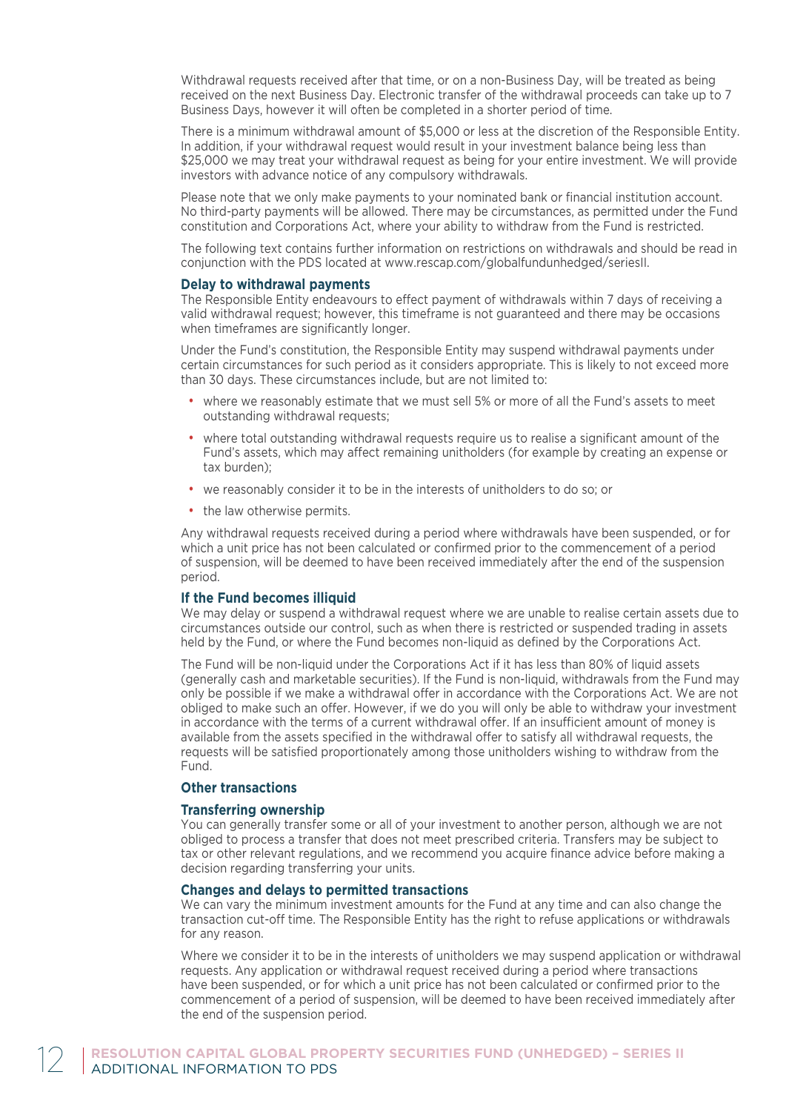Withdrawal requests received after that time, or on a non-Business Day, will be treated as being received on the next Business Day. Electronic transfer of the withdrawal proceeds can take up to 7 Business Days, however it will often be completed in a shorter period of time.

There is a minimum withdrawal amount of \$5,000 or less at the discretion of the Responsible Entity. In addition, if your withdrawal request would result in your investment balance being less than \$25,000 we may treat your withdrawal request as being for your entire investment. We will provide investors with advance notice of any compulsory withdrawals.

Please note that we only make payments to your nominated bank or financial institution account. No third-party payments will be allowed. There may be circumstances, as permitted under the Fund constitution and Corporations Act, where your ability to withdraw from the Fund is restricted.

The following text contains further information on restrictions on withdrawals and should be read in conjunction with the PDS located at www.rescap.com/globalfundunhedged/seriesII.

# **Delay to withdrawal payments**

The Responsible Entity endeavours to effect payment of withdrawals within 7 days of receiving a valid withdrawal request; however, this timeframe is not guaranteed and there may be occasions when timeframes are significantly longer.

Under the Fund's constitution, the Responsible Entity may suspend withdrawal payments under certain circumstances for such period as it considers appropriate. This is likely to not exceed more than 30 days. These circumstances include, but are not limited to:

- where we reasonably estimate that we must sell 5% or more of all the Fund's assets to meet outstanding withdrawal requests;
- where total outstanding withdrawal requests require us to realise a significant amount of the Fund's assets, which may affect remaining unitholders (for example by creating an expense or tax burden);
- we reasonably consider it to be in the interests of unitholders to do so; or
- the law otherwise permits.

Any withdrawal requests received during a period where withdrawals have been suspended, or for which a unit price has not been calculated or confirmed prior to the commencement of a period of suspension, will be deemed to have been received immediately after the end of the suspension period.

# **If the Fund becomes illiquid**

We may delay or suspend a withdrawal request where we are unable to realise certain assets due to circumstances outside our control, such as when there is restricted or suspended trading in assets held by the Fund, or where the Fund becomes non-liquid as defined by the Corporations Act.

The Fund will be non-liquid under the Corporations Act if it has less than 80% of liquid assets (generally cash and marketable securities). If the Fund is non-liquid, withdrawals from the Fund may only be possible if we make a withdrawal offer in accordance with the Corporations Act. We are not obliged to make such an offer. However, if we do you will only be able to withdraw your investment in accordance with the terms of a current withdrawal offer. If an insufficient amount of money is available from the assets specified in the withdrawal offer to satisfy all withdrawal requests, the requests will be satisfied proportionately among those unitholders wishing to withdraw from the Fund.

# **Other transactions**

# **Transferring ownership**

You can generally transfer some or all of your investment to another person, although we are not obliged to process a transfer that does not meet prescribed criteria. Transfers may be subject to tax or other relevant regulations, and we recommend you acquire finance advice before making a decision regarding transferring your units.

# **Changes and delays to permitted transactions**

We can vary the minimum investment amounts for the Fund at any time and can also change the transaction cut-off time. The Responsible Entity has the right to refuse applications or withdrawals for any reason.

Where we consider it to be in the interests of unitholders we may suspend application or withdrawal requests. Any application or withdrawal request received during a period where transactions have been suspended, or for which a unit price has not been calculated or confirmed prior to the commencement of a period of suspension, will be deemed to have been received immediately after the end of the suspension period.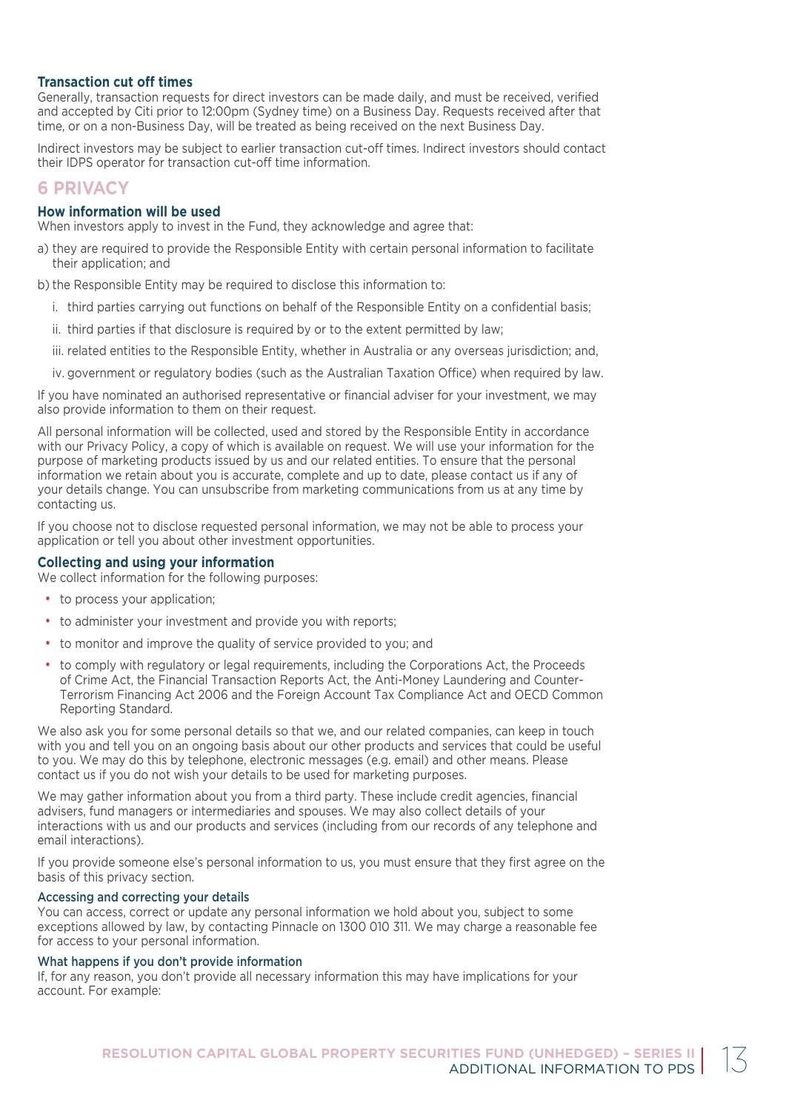# **Transaction cut off times**

Generally, transaction requests for direct investors can be made daily, and must be received, verified and accepted by Citi prior to 12:00pm (Sydney time) on a Business Day. Requests received after that time, or on a non-Business Day, will be treated as being received on the next Business Day.

Indirect investors may be subject to earlier transaction cut-off times. Indirect investors should contact their IDPS operator for transaction cut-off time information.

# **6 PRIVACY**

# **How information will be used**

When investors apply to invest in the Fund, they acknowledge and agree that:

a) they are required to provide the Responsible Entity with certain personal information to facilitate their application; and

b) the Responsible Entity may be required to disclose this information to:

- i. third parties carrying out functions on behalf of the Responsible Entity on a confidential basis;
- ii. third parties if that disclosure is required by or to the extent permitted by law;
- iii. related entities to the Responsible Entity, whether in Australia or any overseas jurisdiction; and,
- iv. government or regulatory bodies (such as the Australian Taxation Office) when required by law.

If you have nominated an authorised representative or financial adviser for your investment, we may also provide information to them on their request.

All personal information will be collected, used and stored by the Responsible Entity in accordance with our Privacy Policy, a copy of which is available on request. We will use your information for the purpose of marketing products issued by us and our related entities. To ensure that the personal information we retain about you is accurate, complete and up to date, please contact us if any of your details change. You can unsubscribe from marketing communications from us at any time by contacting us.

If you choose not to disclose requested personal information, we may not be able to process your application or tell you about other investment opportunities.

# **Collecting and using your information**

We collect information for the following purposes:

- to process your application;
- to administer your investment and provide you with reports:
- to monitor and improve the quality of service provided to you; and
- to comply with regulatory or legal requirements, including the Corporations Act, the Proceeds of Crime Act, the Financial Transaction Reports Act, the Anti-Money Laundering and Counter-Terrorism Financing Act 2006 and the Foreign Account Tax Compliance Act and OECD Common Reporting Standard.

We also ask you for some personal details so that we, and our related companies, can keep in touch with you and tell you on an ongoing basis about our other products and services that could be useful to you. We may do this by telephone, electronic messages (e.g. email) and other means. Please contact us if you do not wish your details to be used for marketing purposes.

We may gather information about you from a third party. These include credit agencies, financial advisers, fund managers or intermediaries and spouses. We may also collect details of your interactions with us and our products and services (including from our records of any telephone and email interactions).

If you provide someone else's personal information to us, you must ensure that they first agree on the basis of this privacy section.

# Accessing and correcting your details

You can access, correct or update any personal information we hold about you, subject to some exceptions allowed by law, by contacting Pinnacle on 1300 010 311. We may charge a reasonable fee for access to your personal information.

# What happens if you don't provide information

If, for any reason, you don't provide all necessary information this may have implications for your account. For example: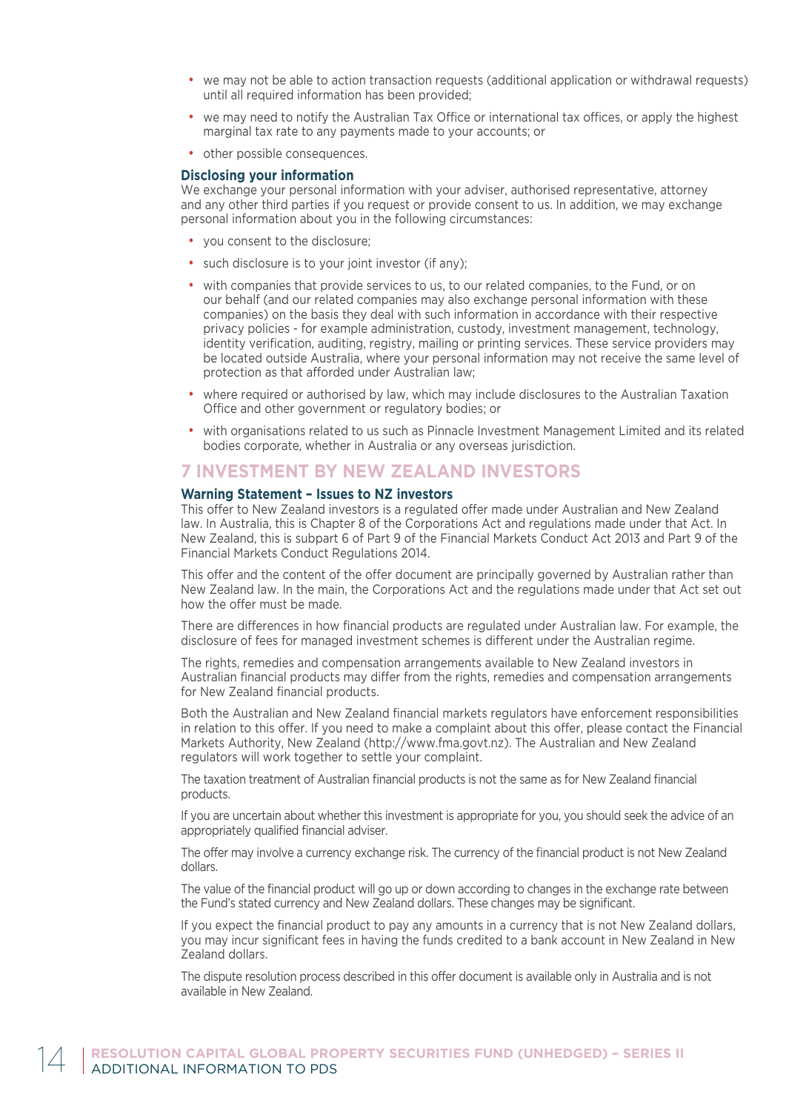- we may not be able to action transaction requests (additional application or withdrawal requests) until all required information has been provided;
- we may need to notify the Australian Tax Office or international tax offices, or apply the highest marginal tax rate to any payments made to your accounts; or
- other possible consequences.

## **Disclosing your information**

We exchange your personal information with your adviser, authorised representative, attorney and any other third parties if you request or provide consent to us. In addition, we may exchange personal information about you in the following circumstances:

- you consent to the disclosure;
- such disclosure is to your joint investor (if any);
- with companies that provide services to us, to our related companies, to the Fund, or on our behalf (and our related companies may also exchange personal information with these companies) on the basis they deal with such information in accordance with their respective privacy policies - for example administration, custody, investment management, technology, identity verification, auditing, registry, mailing or printing services. These service providers may be located outside Australia, where your personal information may not receive the same level of protection as that afforded under Australian law;
- where required or authorised by law, which may include disclosures to the Australian Taxation Office and other government or regulatory bodies; or
- with organisations related to us such as Pinnacle Investment Management Limited and its related bodies corporate, whether in Australia or any overseas jurisdiction.

# **7 INVESTMENT BY NEW ZEALAND INVESTORS**

# **Warning Statement – Issues to NZ investors**

This offer to New Zealand investors is a regulated offer made under Australian and New Zealand law. In Australia, this is Chapter 8 of the Corporations Act and regulations made under that Act. In New Zealand, this is subpart 6 of Part 9 of the Financial Markets Conduct Act 2013 and Part 9 of the Financial Markets Conduct Regulations 2014.

This offer and the content of the offer document are principally governed by Australian rather than New Zealand law. In the main, the Corporations Act and the regulations made under that Act set out how the offer must be made.

There are differences in how financial products are regulated under Australian law. For example, the disclosure of fees for managed investment schemes is different under the Australian regime.

The rights, remedies and compensation arrangements available to New Zealand investors in Australian financial products may differ from the rights, remedies and compensation arrangements for New Zealand financial products.

Both the Australian and New Zealand financial markets regulators have enforcement responsibilities in relation to this offer. If you need to make a complaint about this offer, please contact the Financial Markets Authority, New Zealand (http://www.fma.govt.nz). The Australian and New Zealand regulators will work together to settle your complaint.

The taxation treatment of Australian financial products is not the same as for New Zealand financial products.

If you are uncertain about whether this investment is appropriate for you, you should seek the advice of an appropriately qualified financial adviser.

The offer may involve a currency exchange risk. The currency of the financial product is not New Zealand dollars.

The value of the financial product will go up or down according to changes in the exchange rate between the Fund's stated currency and New Zealand dollars. These changes may be significant.

If you expect the financial product to pay any amounts in a currency that is not New Zealand dollars, you may incur significant fees in having the funds credited to a bank account in New Zealand in New Zealand dollars.

The dispute resolution process described in this offer document is available only in Australia and is not available in New Zealand.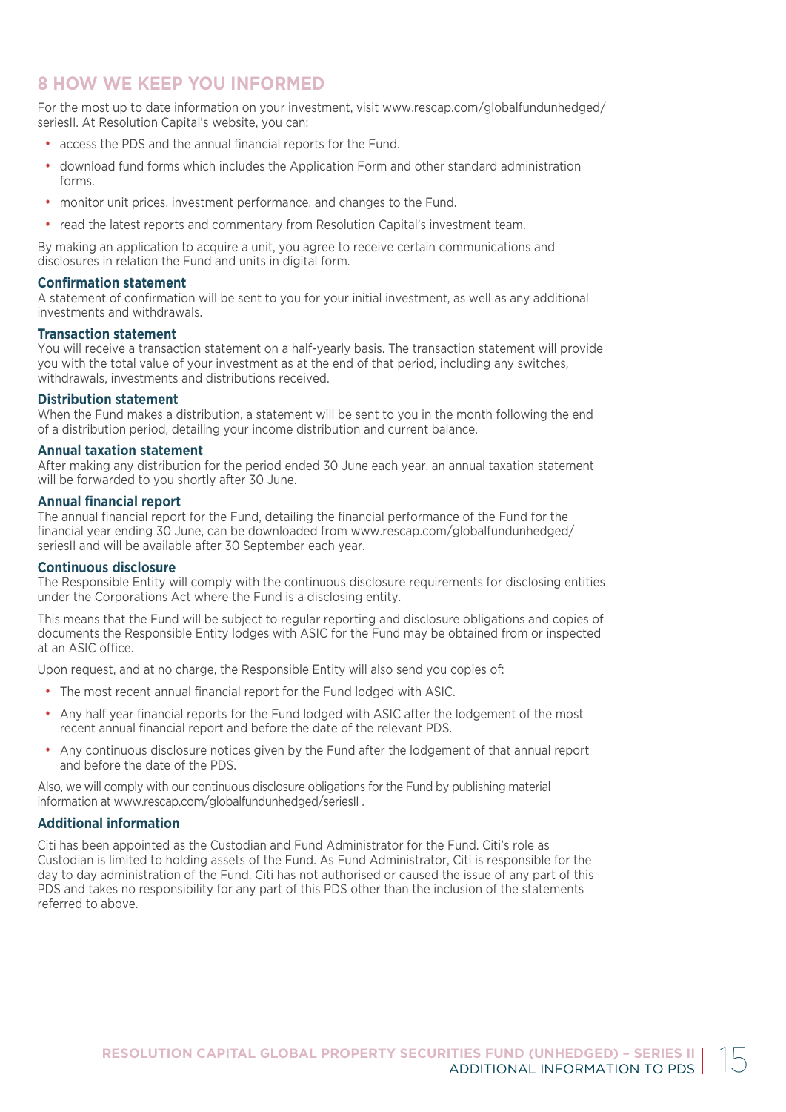# **8 HOW WE KEEP YOU INFORMED**

For the most up to date information on your investment, visit www.rescap.com/globalfundunhedged/ seriesII. At Resolution Capital's website, you can:

- access the PDS and the annual financial reports for the Fund.
- download fund forms which includes the Application Form and other standard administration forms.
- monitor unit prices, investment performance, and changes to the Fund.
- read the latest reports and commentary from Resolution Capital's investment team.

By making an application to acquire a unit, you agree to receive certain communications and disclosures in relation the Fund and units in digital form.

# **Confirmation statement**

A statement of confirmation will be sent to you for your initial investment, as well as any additional investments and withdrawals.

# **Transaction statement**

You will receive a transaction statement on a half-yearly basis. The transaction statement will provide you with the total value of your investment as at the end of that period, including any switches, withdrawals, investments and distributions received.

# **Distribution statement**

When the Fund makes a distribution, a statement will be sent to you in the month following the end of a distribution period, detailing your income distribution and current balance.

# **Annual taxation statement**

After making any distribution for the period ended 30 June each year, an annual taxation statement will be forwarded to you shortly after 30 June.

# **Annual financial report**

The annual financial report for the Fund, detailing the financial performance of the Fund for the financial year ending 30 June, can be downloaded from www.rescap.com/globalfundunhedged/ seriesII and will be available after 30 September each year.

# **Continuous disclosure**

The Responsible Entity will comply with the continuous disclosure requirements for disclosing entities under the Corporations Act where the Fund is a disclosing entity.

This means that the Fund will be subject to regular reporting and disclosure obligations and copies of documents the Responsible Entity lodges with ASIC for the Fund may be obtained from or inspected at an ASIC office.

Upon request, and at no charge, the Responsible Entity will also send you copies of:

- The most recent annual financial report for the Fund lodged with ASIC.
- Any half year financial reports for the Fund lodged with ASIC after the lodgement of the most recent annual financial report and before the date of the relevant PDS.
- Any continuous disclosure notices given by the Fund after the lodgement of that annual report and before the date of the PDS.

Also, we will comply with our continuous disclosure obligations for the Fund by publishing material information at www.rescap.com/globalfundunhedged/seriesII .

# **Additional information**

Citi has been appointed as the Custodian and Fund Administrator for the Fund. Citi's role as Custodian is limited to holding assets of the Fund. As Fund Administrator, Citi is responsible for the day to day administration of the Fund. Citi has not authorised or caused the issue of any part of this PDS and takes no responsibility for any part of this PDS other than the inclusion of the statements referred to above.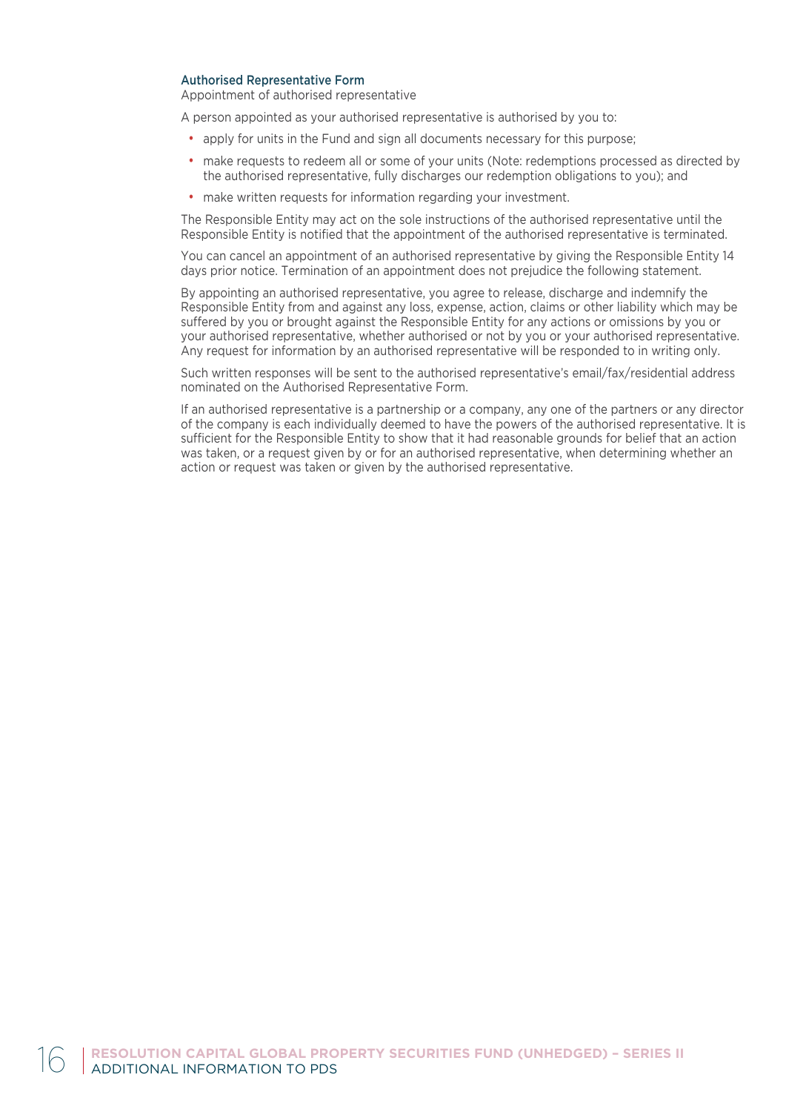# Authorised Representative Form

Appointment of authorised representative

A person appointed as your authorised representative is authorised by you to:

- apply for units in the Fund and sign all documents necessary for this purpose;
- make requests to redeem all or some of your units (Note: redemptions processed as directed by the authorised representative, fully discharges our redemption obligations to you); and
- make written requests for information regarding your investment.

The Responsible Entity may act on the sole instructions of the authorised representative until the Responsible Entity is notified that the appointment of the authorised representative is terminated.

You can cancel an appointment of an authorised representative by giving the Responsible Entity 14 days prior notice. Termination of an appointment does not prejudice the following statement.

By appointing an authorised representative, you agree to release, discharge and indemnify the Responsible Entity from and against any loss, expense, action, claims or other liability which may be suffered by you or brought against the Responsible Entity for any actions or omissions by you or your authorised representative, whether authorised or not by you or your authorised representative. Any request for information by an authorised representative will be responded to in writing only.

Such written responses will be sent to the authorised representative's email/fax/residential address nominated on the Authorised Representative Form.

If an authorised representative is a partnership or a company, any one of the partners or any director of the company is each individually deemed to have the powers of the authorised representative. It is sufficient for the Responsible Entity to show that it had reasonable grounds for belief that an action was taken, or a request given by or for an authorised representative, when determining whether an action or request was taken or given by the authorised representative.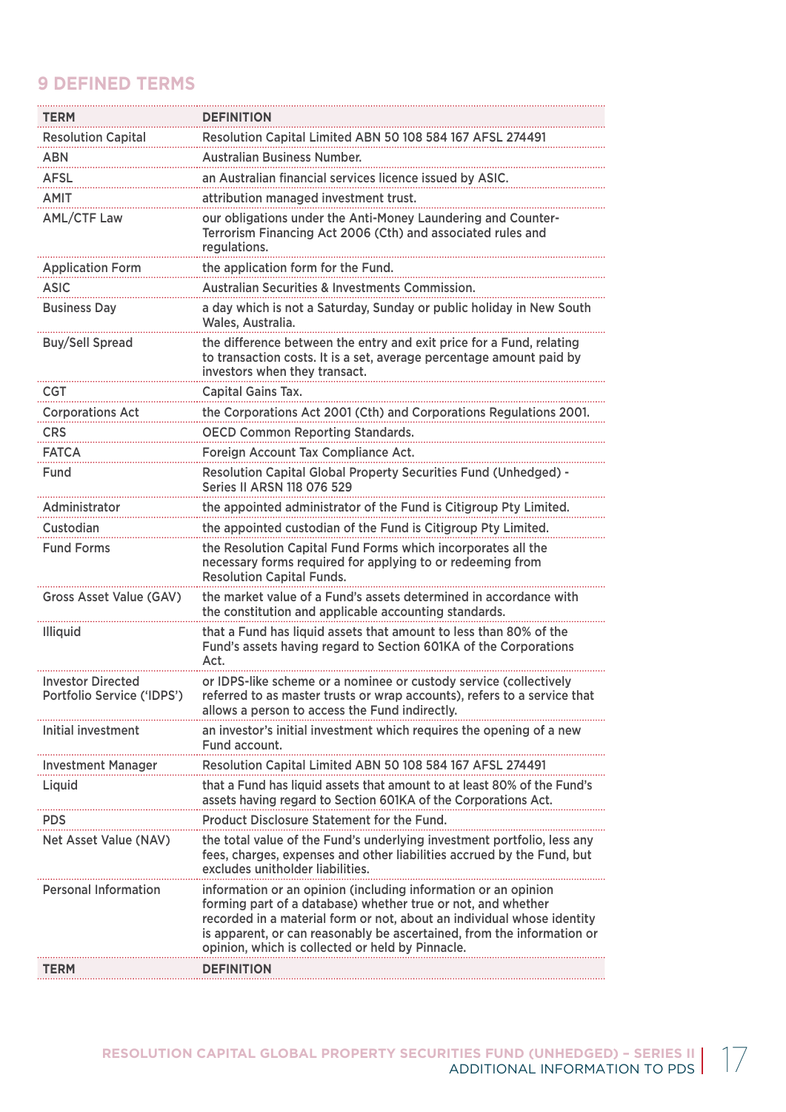# **9 DEFINED TERMS**

| <b>TERM</b>                                            | <b>DEFINITION</b>                                                                                                                                                                                                                                                                                                                      |
|--------------------------------------------------------|----------------------------------------------------------------------------------------------------------------------------------------------------------------------------------------------------------------------------------------------------------------------------------------------------------------------------------------|
| <b>Resolution Capital</b>                              | Resolution Capital Limited ABN 50 108 584 167 AFSL 274491                                                                                                                                                                                                                                                                              |
| <b>ABN</b>                                             | <b>Australian Business Number.</b>                                                                                                                                                                                                                                                                                                     |
| AFSL                                                   | an Australian financial services licence issued by ASIC.                                                                                                                                                                                                                                                                               |
| <b>AMIT</b>                                            | attribution managed investment trust.                                                                                                                                                                                                                                                                                                  |
| <b>AML/CTF Law</b>                                     | our obligations under the Anti-Money Laundering and Counter-<br>Terrorism Financing Act 2006 (Cth) and associated rules and<br>regulations.                                                                                                                                                                                            |
| <b>Application Form</b>                                | the application form for the Fund.                                                                                                                                                                                                                                                                                                     |
| <b>ASIC</b>                                            | <b>Australian Securities &amp; Investments Commission.</b>                                                                                                                                                                                                                                                                             |
| <b>Business Day</b>                                    | a day which is not a Saturday, Sunday or public holiday in New South<br>Wales, Australia.                                                                                                                                                                                                                                              |
| <b>Buy/Sell Spread</b>                                 | the difference between the entry and exit price for a Fund, relating<br>to transaction costs. It is a set, average percentage amount paid by<br>investors when they transact.                                                                                                                                                          |
| CGT                                                    | Capital Gains Tax.                                                                                                                                                                                                                                                                                                                     |
| <b>Corporations Act</b>                                | the Corporations Act 2001 (Cth) and Corporations Regulations 2001.                                                                                                                                                                                                                                                                     |
| <b>CRS</b>                                             | <b>OECD Common Reporting Standards.</b>                                                                                                                                                                                                                                                                                                |
| <b>FATCA</b>                                           | Foreign Account Tax Compliance Act.                                                                                                                                                                                                                                                                                                    |
| Fund                                                   | Resolution Capital Global Property Securities Fund (Unhedged) -<br><b>Series II ARSN 118 076 529</b>                                                                                                                                                                                                                                   |
| Administrator                                          | the appointed administrator of the Fund is Citigroup Pty Limited.                                                                                                                                                                                                                                                                      |
| Custodian                                              | the appointed custodian of the Fund is Citigroup Pty Limited.                                                                                                                                                                                                                                                                          |
| <b>Fund Forms</b>                                      | the Resolution Capital Fund Forms which incorporates all the<br>necessary forms required for applying to or redeeming from<br><b>Resolution Capital Funds.</b>                                                                                                                                                                         |
| <b>Gross Asset Value (GAV)</b>                         | the market value of a Fund's assets determined in accordance with<br>the constitution and applicable accounting standards.                                                                                                                                                                                                             |
| Illiquid                                               | that a Fund has liquid assets that amount to less than 80% of the<br>Fund's assets having regard to Section 601KA of the Corporations<br>Act.                                                                                                                                                                                          |
| <b>Investor Directed</b><br>Portfolio Service ('IDPS') | or IDPS-like scheme or a nominee or custody service (collectively<br>referred to as master trusts or wrap accounts), refers to a service that<br>allows a person to access the Fund indirectly.                                                                                                                                        |
| Initial investment                                     | an investor's initial investment which requires the opening of a new<br>Fund account.                                                                                                                                                                                                                                                  |
| <b>Investment Manager</b>                              | Resolution Capital Limited ABN 50 108 584 167 AFSL 274491                                                                                                                                                                                                                                                                              |
| Liquid                                                 | that a Fund has liquid assets that amount to at least 80% of the Fund's<br>assets having regard to Section 601KA of the Corporations Act.                                                                                                                                                                                              |
| <b>PDS</b>                                             | Product Disclosure Statement for the Fund.                                                                                                                                                                                                                                                                                             |
| Net Asset Value (NAV)                                  | the total value of the Fund's underlying investment portfolio, less any<br>fees, charges, expenses and other liabilities accrued by the Fund, but<br>excludes unitholder liabilities.                                                                                                                                                  |
| <b>Personal Information</b>                            | information or an opinion (including information or an opinion<br>forming part of a database) whether true or not, and whether<br>recorded in a material form or not, about an individual whose identity<br>is apparent, or can reasonably be ascertained, from the information or<br>opinion, which is collected or held by Pinnacle. |
| TERM                                                   | <b>DEFINITION</b>                                                                                                                                                                                                                                                                                                                      |
|                                                        |                                                                                                                                                                                                                                                                                                                                        |